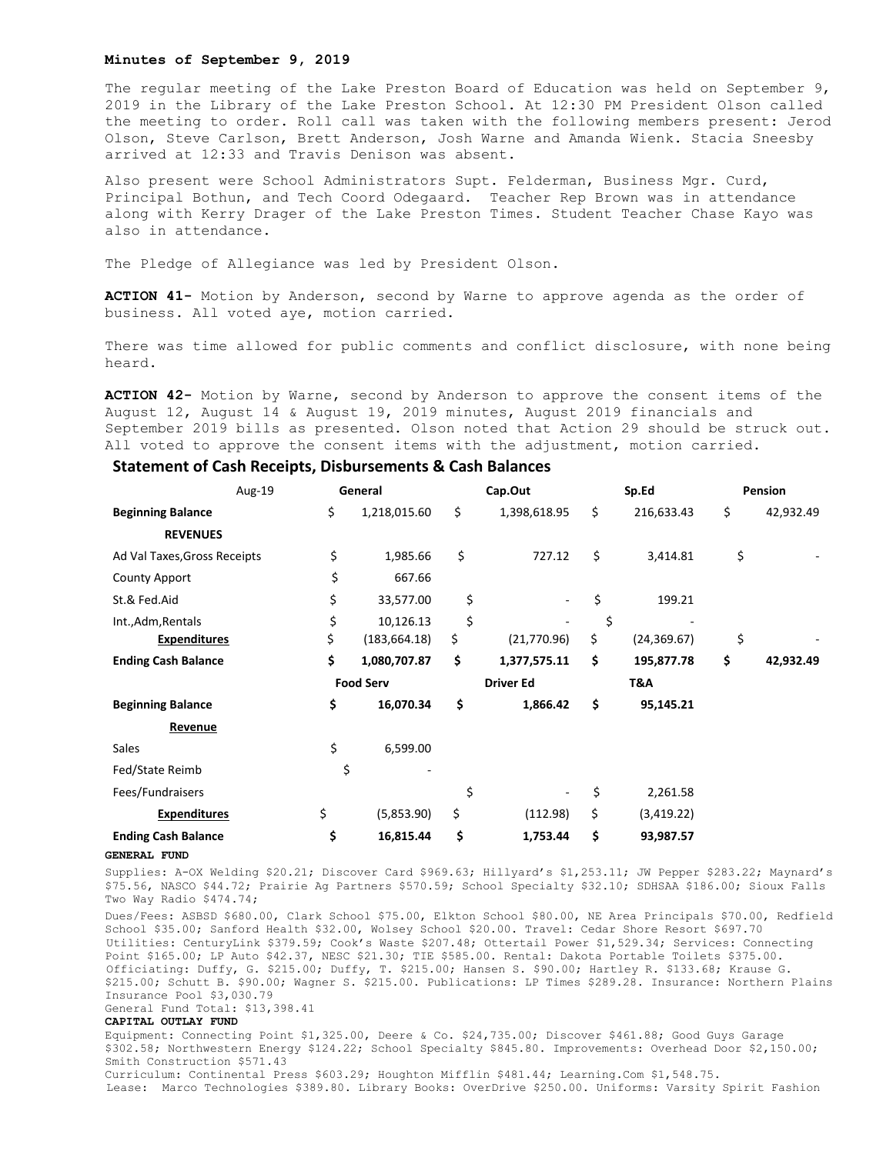### **Minutes of September 9, 2019**

The regular meeting of the Lake Preston Board of Education was held on September 9, 2019 in the Library of the Lake Preston School. At 12:30 PM President Olson called the meeting to order. Roll call was taken with the following members present: Jerod Olson, Steve Carlson, Brett Anderson, Josh Warne and Amanda Wienk. Stacia Sneesby arrived at 12:33 and Travis Denison was absent.

Also present were School Administrators Supt. Felderman, Business Mgr. Curd, Principal Bothun, and Tech Coord Odegaard. Teacher Rep Brown was in attendance along with Kerry Drager of the Lake Preston Times. Student Teacher Chase Kayo was also in attendance.

The Pledge of Allegiance was led by President Olson.

**ACTION 41-** Motion by Anderson, second by Warne to approve agenda as the order of business. All voted aye, motion carried.

There was time allowed for public comments and conflict disclosure, with none being heard.

**ACTION 42-** Motion by Warne, second by Anderson to approve the consent items of the August 12, August 14 & August 19, 2019 minutes, August 2019 financials and September 2019 bills as presented. Olson noted that Action 29 should be struck out. All voted to approve the consent items with the adjustment, motion carried.

|                              | Aug-19 | General          |               | Cap.Out          |              | Sp.Ed |              | <b>Pension</b> |           |
|------------------------------|--------|------------------|---------------|------------------|--------------|-------|--------------|----------------|-----------|
| <b>Beginning Balance</b>     |        | \$               | 1,218,015.60  | \$               | 1,398,618.95 | \$    | 216,633.43   | \$             | 42,932.49 |
| <b>REVENUES</b>              |        |                  |               |                  |              |       |              |                |           |
| Ad Val Taxes, Gross Receipts |        | \$               | 1,985.66      | \$               | 727.12       | \$    | 3,414.81     | \$             |           |
| <b>County Apport</b>         |        | \$               | 667.66        |                  |              |       |              |                |           |
| St.& Fed.Aid                 |        | \$               | 33,577.00     | \$               |              | \$    | 199.21       |                |           |
| Int., Adm, Rentals           |        | \$               | 10,126.13     | \$               |              | \$    |              |                |           |
| <b>Expenditures</b>          |        | \$               | (183, 664.18) | \$               | (21,770.96)  | \$    | (24, 369.67) | \$             |           |
| <b>Ending Cash Balance</b>   |        | \$               | 1,080,707.87  | \$               | 1,377,575.11 | \$    | 195,877.78   | \$             | 42,932.49 |
|                              |        | <b>Food Serv</b> |               | <b>Driver Ed</b> |              | T&A   |              |                |           |
| <b>Beginning Balance</b>     |        | \$               | 16,070.34     | \$               | 1,866.42     | \$    | 95,145.21    |                |           |
| Revenue                      |        |                  |               |                  |              |       |              |                |           |
| Sales                        |        | \$               | 6,599.00      |                  |              |       |              |                |           |
| Fed/State Reimb              |        | \$               |               |                  |              |       |              |                |           |
| Fees/Fundraisers             |        |                  |               | \$               |              | \$    | 2,261.58     |                |           |
| <b>Expenditures</b>          |        | \$               | (5,853.90)    | \$               | (112.98)     | \$    | (3,419.22)   |                |           |
| <b>Ending Cash Balance</b>   |        | \$               | 16,815.44     | \$               | 1,753.44     | \$    | 93,987.57    |                |           |

## **Statement of Cash Receipts, Disbursements & Cash Balances**

### **GENERAL FUND**

Supplies: A-OX Welding \$20.21; Discover Card \$969.63; Hillyard's \$1,253.11; JW Pepper \$283.22; Maynard's \$75.56, NASCO \$44.72; Prairie Ag Partners \$570.59; School Specialty \$32.10; SDHSAA \$186.00; Sioux Falls Two Way Radio \$474.74;

Dues/Fees: ASBSD \$680.00, Clark School \$75.00, Elkton School \$80.00, NE Area Principals \$70.00, Redfield School \$35.00; Sanford Health \$32.00, Wolsey School \$20.00. Travel: Cedar Shore Resort \$697.70 Utilities: CenturyLink \$379.59; Cook's Waste \$207.48; Ottertail Power \$1,529.34; Services: Connecting Point \$165.00; LP Auto \$42.37, NESC \$21.30; TIE \$585.00. Rental: Dakota Portable Toilets \$375.00. Officiating: Duffy, G. \$215.00; Duffy, T. \$215.00; Hansen S. \$90.00; Hartley R. \$133.68; Krause G. \$215.00; Schutt B. \$90.00; Wagner S. \$215.00. Publications: LP Times \$289.28. Insurance: Northern Plains Insurance Pool \$3,030.79 General Fund Total: \$13,398.41

#### **CAPITAL OUTLAY FUND**

Equipment: Connecting Point \$1,325.00, Deere & Co. \$24,735.00; Discover \$461.88; Good Guys Garage \$302.58; Northwestern Energy \$124.22; School Specialty \$845.80. Improvements: Overhead Door \$2,150.00; Smith Construction \$571.43 Curriculum: Continental Press \$603.29; Houghton Mifflin \$481.44; Learning.Com \$1,548.75. Lease: Marco Technologies \$389.80. Library Books: OverDrive \$250.00. Uniforms: Varsity Spirit Fashion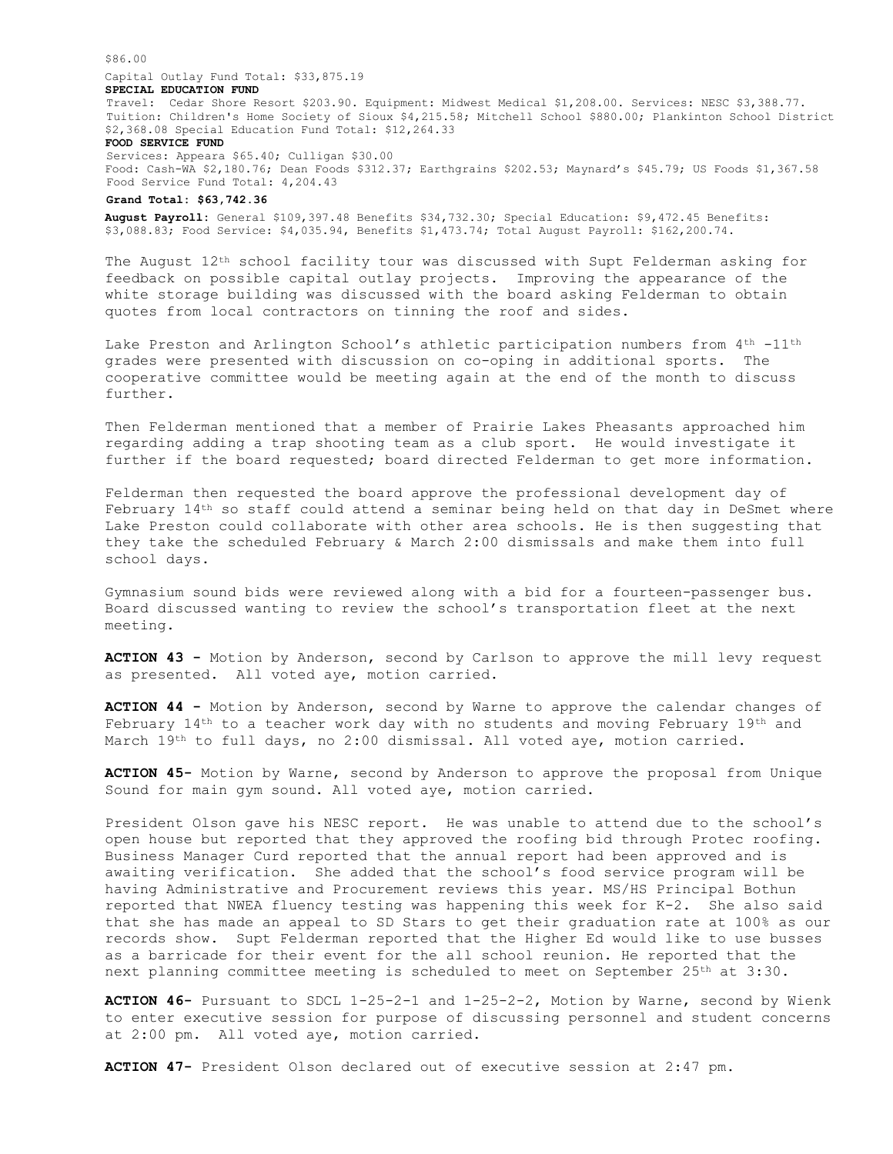\$86.00

# Capital Outlay Fund Total: \$33,875.19

### **SPECIAL EDUCATION FUND**

Travel: Cedar Shore Resort \$203.90. Equipment: Midwest Medical \$1,208.00. Services: NESC \$3,388.77. Tuition: Children's Home Society of Sioux \$4,215.58; Mitchell School \$880.00; Plankinton School District \$2,368.08 Special Education Fund Total: \$12,264.33

### **FOOD SERVICE FUND**

Services: Appeara \$65.40; Culligan \$30.00 Food: Cash-WA \$2,180.76; Dean Foods \$312.37; Earthgrains \$202.53; Maynard's \$45.79; US Foods \$1,367.58 Food Service Fund Total: 4,204.43

## **Grand Total: \$63,742.36**

**August Payroll:** General \$109,397.48 Benefits \$34,732.30; Special Education: \$9,472.45 Benefits: \$3,088.83; Food Service: \$4,035.94, Benefits \$1,473.74; Total August Payroll: \$162,200.74.

The August 12th school facility tour was discussed with Supt Felderman asking for feedback on possible capital outlay projects. Improving the appearance of the white storage building was discussed with the board asking Felderman to obtain quotes from local contractors on tinning the roof and sides.

Lake Preston and Arlington School's athletic participation numbers from 4<sup>th</sup> -11<sup>th</sup> grades were presented with discussion on co-oping in additional sports. The cooperative committee would be meeting again at the end of the month to discuss further.

Then Felderman mentioned that a member of Prairie Lakes Pheasants approached him regarding adding a trap shooting team as a club sport. He would investigate it further if the board requested; board directed Felderman to get more information.

Felderman then requested the board approve the professional development day of February 14th so staff could attend a seminar being held on that day in DeSmet where Lake Preston could collaborate with other area schools. He is then suggesting that they take the scheduled February & March 2:00 dismissals and make them into full school days.

Gymnasium sound bids were reviewed along with a bid for a fourteen-passenger bus. Board discussed wanting to review the school's transportation fleet at the next meeting.

**ACTION 43 -** Motion by Anderson, second by Carlson to approve the mill levy request as presented. All voted aye, motion carried.

**ACTION 44 -** Motion by Anderson, second by Warne to approve the calendar changes of February 14th to a teacher work day with no students and moving February 19th and March 19th to full days, no 2:00 dismissal. All voted aye, motion carried.

**ACTION 45-** Motion by Warne, second by Anderson to approve the proposal from Unique Sound for main gym sound. All voted aye, motion carried.

President Olson gave his NESC report. He was unable to attend due to the school's open house but reported that they approved the roofing bid through Protec roofing. Business Manager Curd reported that the annual report had been approved and is awaiting verification. She added that the school's food service program will be having Administrative and Procurement reviews this year. MS/HS Principal Bothun reported that NWEA fluency testing was happening this week for K-2. She also said that she has made an appeal to SD Stars to get their graduation rate at 100% as our records show. Supt Felderman reported that the Higher Ed would like to use busses as a barricade for their event for the all school reunion. He reported that the next planning committee meeting is scheduled to meet on September 25th at 3:30.

**ACTION 46-** Pursuant to SDCL 1-25-2-1 and 1-25-2-2, Motion by Warne, second by Wienk to enter executive session for purpose of discussing personnel and student concerns at 2:00 pm. All voted aye, motion carried.

**ACTION 47-** President Olson declared out of executive session at 2:47 pm.